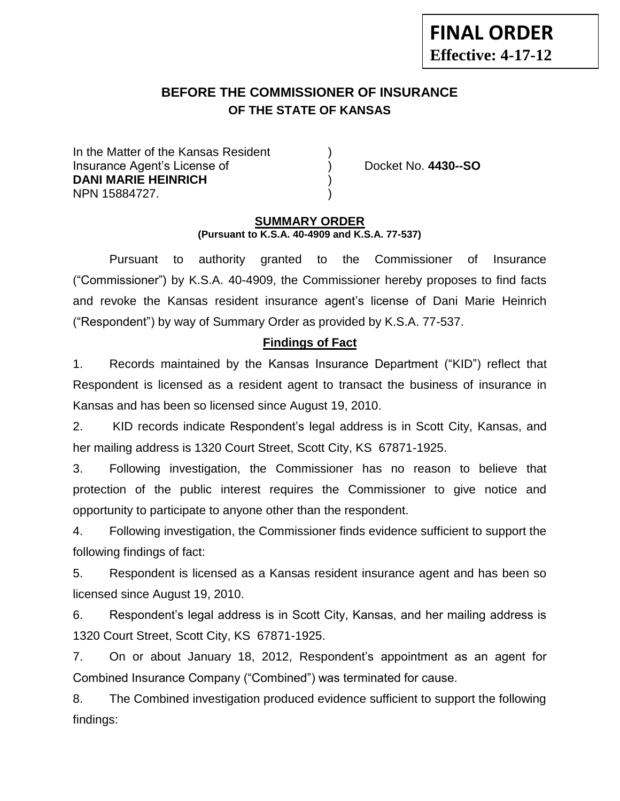# **BEFORE THE COMMISSIONER OF INSURANCE OF THE STATE OF KANSAS**

In the Matter of the Kansas Resident Insurance Agent's License of ) Docket No. **4430--SO DANI MARIE HEINRICH** ) NPN 15884727. )

**-12**

#### **SUMMARY ORDER (Pursuant to K.S.A. 40-4909 and K.S.A. 77-537)**

Pursuant to authority granted to the Commissioner of Insurance ("Commissioner") by K.S.A. 40-4909, the Commissioner hereby proposes to find facts and revoke the Kansas resident insurance agent's license of Dani Marie Heinrich ("Respondent") by way of Summary Order as provided by K.S.A. 77-537.

## **Findings of Fact**

1. Records maintained by the Kansas Insurance Department ("KID") reflect that Respondent is licensed as a resident agent to transact the business of insurance in Kansas and has been so licensed since August 19, 2010.

2. KID records indicate Respondent's legal address is in Scott City, Kansas, and her mailing address is 1320 Court Street, Scott City, KS 67871-1925.

3. Following investigation, the Commissioner has no reason to believe that protection of the public interest requires the Commissioner to give notice and opportunity to participate to anyone other than the respondent.

4. Following investigation, the Commissioner finds evidence sufficient to support the following findings of fact:

5. Respondent is licensed as a Kansas resident insurance agent and has been so licensed since August 19, 2010.

6. Respondent's legal address is in Scott City, Kansas, and her mailing address is 1320 Court Street, Scott City, KS 67871-1925.

7. On or about January 18, 2012, Respondent's appointment as an agent for Combined Insurance Company ("Combined") was terminated for cause.

8. The Combined investigation produced evidence sufficient to support the following findings: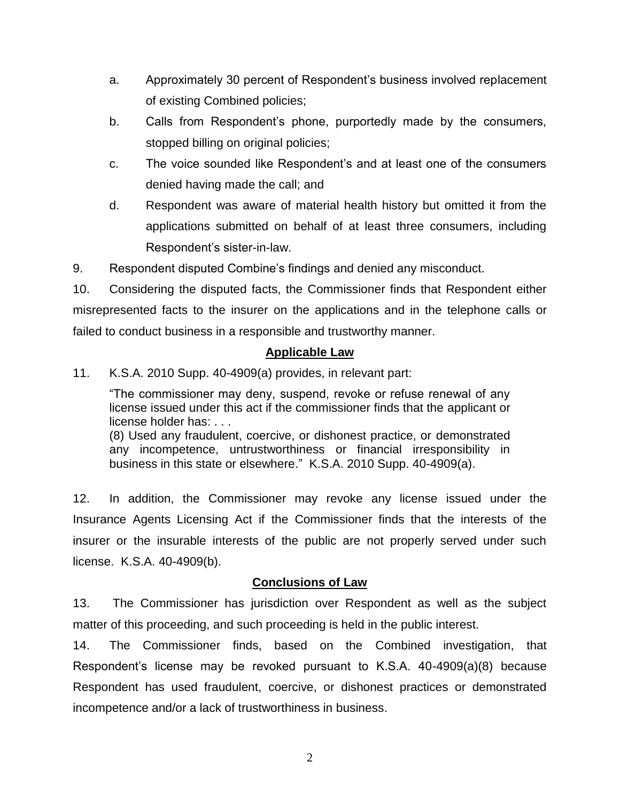- a. Approximately 30 percent of Respondent's business involved replacement of existing Combined policies;
- b. Calls from Respondent's phone, purportedly made by the consumers, stopped billing on original policies;
- c. The voice sounded like Respondent's and at least one of the consumers denied having made the call; and
- d. Respondent was aware of material health history but omitted it from the applications submitted on behalf of at least three consumers, including Respondent's sister-in-law.

9. Respondent disputed Combine's findings and denied any misconduct.

10. Considering the disputed facts, the Commissioner finds that Respondent either misrepresented facts to the insurer on the applications and in the telephone calls or failed to conduct business in a responsible and trustworthy manner.

### **Applicable Law**

11. K.S.A. 2010 Supp. 40-4909(a) provides, in relevant part:

"The commissioner may deny, suspend, revoke or refuse renewal of any license issued under this act if the commissioner finds that the applicant or license holder has: . . .

(8) Used any fraudulent, coercive, or dishonest practice, or demonstrated any incompetence, untrustworthiness or financial irresponsibility in business in this state or elsewhere." K.S.A. 2010 Supp. 40-4909(a).

12. In addition, the Commissioner may revoke any license issued under the Insurance Agents Licensing Act if the Commissioner finds that the interests of the insurer or the insurable interests of the public are not properly served under such license. K.S.A. 40-4909(b).

### **Conclusions of Law**

13. The Commissioner has jurisdiction over Respondent as well as the subject matter of this proceeding, and such proceeding is held in the public interest.

14. The Commissioner finds, based on the Combined investigation, that Respondent's license may be revoked pursuant to K.S.A. 40-4909(a)(8) because Respondent has used fraudulent, coercive, or dishonest practices or demonstrated incompetence and/or a lack of trustworthiness in business.

2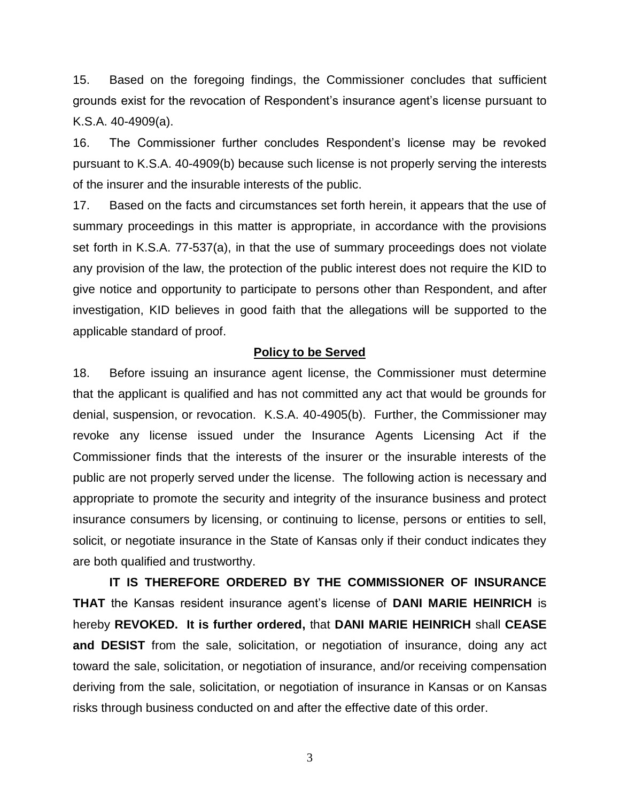15. Based on the foregoing findings, the Commissioner concludes that sufficient grounds exist for the revocation of Respondent's insurance agent's license pursuant to K.S.A. 40-4909(a).

16. The Commissioner further concludes Respondent's license may be revoked pursuant to K.S.A. 40-4909(b) because such license is not properly serving the interests of the insurer and the insurable interests of the public.

17. Based on the facts and circumstances set forth herein, it appears that the use of summary proceedings in this matter is appropriate, in accordance with the provisions set forth in K.S.A. 77-537(a), in that the use of summary proceedings does not violate any provision of the law, the protection of the public interest does not require the KID to give notice and opportunity to participate to persons other than Respondent, and after investigation, KID believes in good faith that the allegations will be supported to the applicable standard of proof.

#### **Policy to be Served**

18. Before issuing an insurance agent license, the Commissioner must determine that the applicant is qualified and has not committed any act that would be grounds for denial, suspension, or revocation. K.S.A. 40-4905(b). Further, the Commissioner may revoke any license issued under the Insurance Agents Licensing Act if the Commissioner finds that the interests of the insurer or the insurable interests of the public are not properly served under the license. The following action is necessary and appropriate to promote the security and integrity of the insurance business and protect insurance consumers by licensing, or continuing to license, persons or entities to sell, solicit, or negotiate insurance in the State of Kansas only if their conduct indicates they are both qualified and trustworthy.

**IT IS THEREFORE ORDERED BY THE COMMISSIONER OF INSURANCE THAT** the Kansas resident insurance agent's license of **DANI MARIE HEINRICH** is hereby **REVOKED. It is further ordered,** that **DANI MARIE HEINRICH** shall **CEASE and DESIST** from the sale, solicitation, or negotiation of insurance, doing any act toward the sale, solicitation, or negotiation of insurance, and/or receiving compensation deriving from the sale, solicitation, or negotiation of insurance in Kansas or on Kansas risks through business conducted on and after the effective date of this order.

3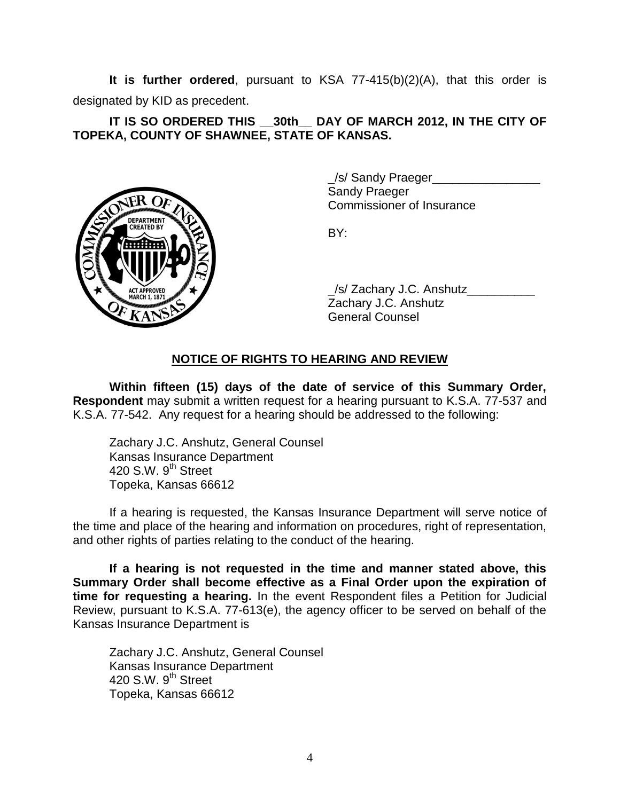**It is further ordered**, pursuant to KSA 77-415(b)(2)(A), that this order is designated by KID as precedent.

**IT IS SO ORDERED THIS \_\_30th\_\_ DAY OF MARCH 2012, IN THE CITY OF TOPEKA, COUNTY OF SHAWNEE, STATE OF KANSAS.**



\_/s/ Sandy Praeger\_\_\_\_\_\_\_\_\_\_\_\_\_\_\_\_ Sandy Praeger Commissioner of Insurance

BY:

/s/ Zachary J.C. Anshutz Zachary J.C. Anshutz General Counsel

## **NOTICE OF RIGHTS TO HEARING AND REVIEW**

**Within fifteen (15) days of the date of service of this Summary Order, Respondent** may submit a written request for a hearing pursuant to K.S.A. 77-537 and K.S.A. 77-542. Any request for a hearing should be addressed to the following:

Zachary J.C. Anshutz, General Counsel Kansas Insurance Department 420 S.W. 9<sup>th</sup> Street Topeka, Kansas 66612

If a hearing is requested, the Kansas Insurance Department will serve notice of the time and place of the hearing and information on procedures, right of representation, and other rights of parties relating to the conduct of the hearing.

**If a hearing is not requested in the time and manner stated above, this Summary Order shall become effective as a Final Order upon the expiration of time for requesting a hearing.** In the event Respondent files a Petition for Judicial Review, pursuant to K.S.A. 77-613(e), the agency officer to be served on behalf of the Kansas Insurance Department is

Zachary J.C. Anshutz, General Counsel Kansas Insurance Department 420 S.W.  $9<sup>th</sup>$  Street Topeka, Kansas 66612